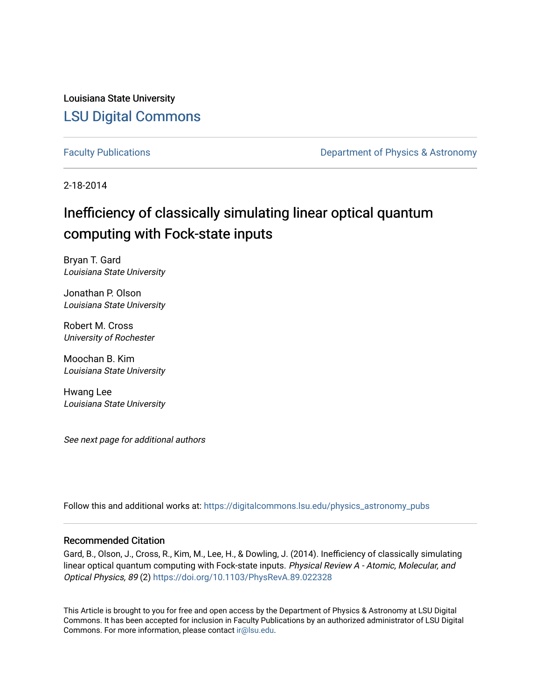Louisiana State University [LSU Digital Commons](https://digitalcommons.lsu.edu/)

[Faculty Publications](https://digitalcommons.lsu.edu/physics_astronomy_pubs) **Exercise 2 and Table 2 and Table 2 and Table 2 and Table 2 and Table 2 and Table 2 and Table 2 and Table 2 and Table 2 and Table 2 and Table 2 and Table 2 and Table 2 and Table 2 and Table 2 and Table** 

2-18-2014

# Inefficiency of classically simulating linear optical quantum computing with Fock-state inputs

Bryan T. Gard Louisiana State University

Jonathan P. Olson Louisiana State University

Robert M. Cross University of Rochester

Moochan B. Kim Louisiana State University

Hwang Lee Louisiana State University

See next page for additional authors

Follow this and additional works at: [https://digitalcommons.lsu.edu/physics\\_astronomy\\_pubs](https://digitalcommons.lsu.edu/physics_astronomy_pubs?utm_source=digitalcommons.lsu.edu%2Fphysics_astronomy_pubs%2F3116&utm_medium=PDF&utm_campaign=PDFCoverPages) 

### Recommended Citation

Gard, B., Olson, J., Cross, R., Kim, M., Lee, H., & Dowling, J. (2014). Inefficiency of classically simulating linear optical quantum computing with Fock-state inputs. Physical Review A - Atomic, Molecular, and Optical Physics, 89 (2)<https://doi.org/10.1103/PhysRevA.89.022328>

This Article is brought to you for free and open access by the Department of Physics & Astronomy at LSU Digital Commons. It has been accepted for inclusion in Faculty Publications by an authorized administrator of LSU Digital Commons. For more information, please contact [ir@lsu.edu](mailto:ir@lsu.edu).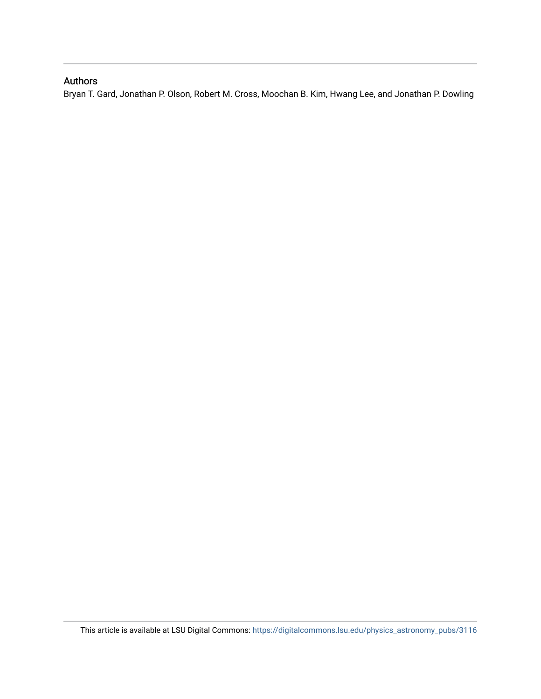# Authors

Bryan T. Gard, Jonathan P. Olson, Robert M. Cross, Moochan B. Kim, Hwang Lee, and Jonathan P. Dowling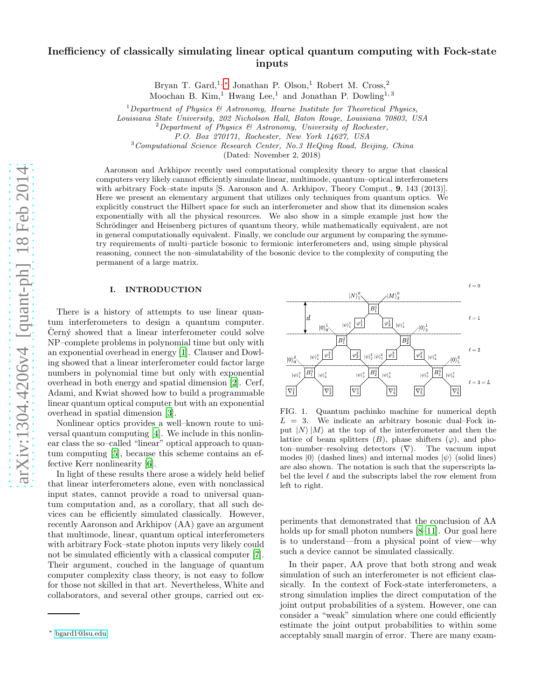## Inefficiency of classically simulating linear optical quantum computing with Fock-state inputs

Bryan T. Gard,<sup>1,\*</sup> Jonathan P. Olson,<sup>1</sup> Robert M. Cross,<sup>2</sup>

Moochan B. Kim,<sup>1</sup> Hwang Lee,<sup>1</sup> and Jonathan P. Dowling<sup>1,3</sup>

<sup>1</sup>*Department of Physics & Astronomy, Hearne Institute for Theoretical Physics,*

*Louisiana State University, 202 Nicholson Hall, Baton Rouge, Louisiana 70803, USA*

<sup>2</sup>*Department of Physics & Astronomy, University of Rochester,*

<sup>3</sup>*Computational Science Research Center, No.3 HeQing Road, Beijing, China*

(Dated: November 2, 2018)

Aaronson and Arkhipov recently used computational complexity theory to argue that classical computers very likely cannot efficiently simulate linear, multimode, quantum–optical interferometers with arbitrary Fock–state inputs [S. Aaronson and A. Arkhipov, Theory Comput., 9, 143 (2013)]. Here we present an elementary argument that utilizes only techniques from quantum optics. We explicitly construct the Hilbert space for such an interferometer and show that its dimension scales exponentially with all the physical resources. We also show in a simple example just how the Schrödinger and Heisenberg pictures of quantum theory, while mathematically equivalent, are not in general computationally equivalent. Finally, we conclude our argument by comparing the symmetry requirements of multi–particle bosonic to fermionic interferometers and, using simple physical reasoning, connect the non–simulatability of the bosonic device to the complexity of computing the permanent of a large matrix.

#### I. INTRODUCTION

There is a history of attempts to use linear quantum interferometers to design a quantum computer. Cern $\acute{v}$  showed that a linear interferometer could solve NP–complete problems in polynomial time but only with an exponential overhead in energy [\[1](#page-8-0)]. Clauser and Dowling showed that a linear interferometer could factor large numbers in polynomial time but only with exponential overhead in both energy and spatial dimension [\[2\]](#page-8-1). Cerf, Adami, and Kwiat showed how to build a programmable linear quantum optical computer but with an exponential overhead in spatial dimension [\[3\]](#page-8-2).

Nonlinear optics provides a well–known route to universal quantum computing [\[4](#page-8-3)]. We include in this nonlinear class the so–called "linear" optical approach to quantum computing [\[5](#page-8-4)], because this scheme contains an effective Kerr nonlinearity [\[6\]](#page-8-5).

In light of these results there arose a widely held belief that linear interferometers alone, even with nonclassical input states, cannot provide a road to universal quantum computation and, as a corollary, that all such devices can be efficiently simulated classically. However, recently Aaronson and Arkhipov (AA) gave an argument that multimode, linear, quantum optical interferometers with arbitrary Fock–state photon inputs very likely could not be simulated efficiently with a classical computer [\[7\]](#page-8-6). Their argument, couched in the language of quantum computer complexity class theory, is not easy to follow for those not skilled in that art. Nevertheless, White and collaborators, and several other groups, carried out ex-



<span id="page-2-1"></span>FIG. 1. Quantum pachinko machine for numerical depth  $L = 3$ . We indicate an arbitrary bosonic dual–Fock input  $|N\rangle |M\rangle$  at the top of the interferometer and then the lattice of beam splitters  $(B)$ , phase shifters  $(\varphi)$ , and photon–number–resolving detectors  $(\nabla)$ . The vacuum input modes  $|0\rangle$  (dashed lines) and internal modes  $|\psi\rangle$  (solid lines) are also shown. The notation is such that the superscripts label the level  $\ell$  and the subscripts label the row element from left to right.

periments that demonstrated that the conclusion of AA holds up for small photon numbers [\[8](#page-8-7)[–11](#page-8-8)]. Our goal here is to understand—from a physical point of view—why such a device cannot be simulated classically.

In their paper, AA prove that both strong and weak simulation of such an interferometer is not efficient classically. In the context of Fock-state interferometers, a strong simulation implies the direct computation of the joint output probabilities of a system. However, one can consider a "weak" simulation where one could efficiently estimate the joint output probabilities to within some acceptably small margin of error. There are many exam-

*P.O. Box 270171, Rochester, New York 14627, USA*

<span id="page-2-0"></span><sup>∗</sup> [bgard1@lsu.edu](mailto:bgard1@lsu.edu)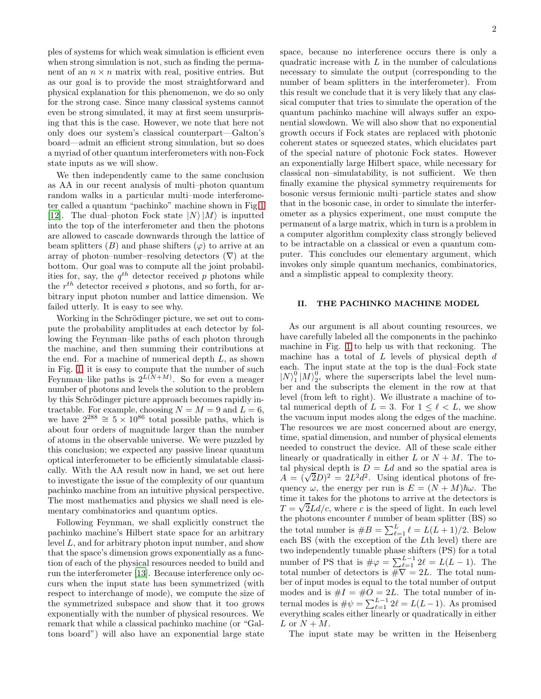ples of systems for which weak simulation is efficient even when strong simulation is not, such as finding the permanent of an  $n \times n$  matrix with real, positive entries. But as our goal is to provide the most straightforward and physical explanation for this phenomenon, we do so only for the strong case. Since many classical systems cannot even be strong simulated, it may at first seem unsurprising that this is the case. However, we note that here not only does our system's classical counterpart—Galton's board—admit an efficient strong simulation, but so does a myriad of other quantum interferometers with non-Fock state inputs as we will show.

We then independently came to the same conclusion as AA in our recent analysis of multi–photon quantum random walks in a particular multi–mode interferometer called a quantum "pachinko" machine shown in Fig[.1](#page-2-1) [\[12\]](#page-8-9). The dual–photon Fock state  $|N\rangle |M\rangle$  is inputted into the top of the interferometer and then the photons are allowed to cascade downwards through the lattice of beam splitters  $(B)$  and phase shifters  $(\varphi)$  to arrive at an array of photon–number–resolving detectors  $(\nabla)$  at the bottom. Our goal was to compute all the joint probabilities for, say, the  $q^{th}$  detector received p photons while the  $r^{th}$  detector received s photons, and so forth, for arbitrary input photon number and lattice dimension. We failed utterly. It is easy to see why.

Working in the Schrödinger picture, we set out to compute the probability amplitudes at each detector by following the Feynman–like paths of each photon through the machine, and then summing their contributions at the end. For a machine of numerical depth  $L$ , as shown in Fig. [1,](#page-2-1) it is easy to compute that the number of such Feynman–like paths is  $2^{L(N+M)}$ . So for even a meager number of photons and levels the solution to the problem by this Schrödinger picture approach becomes rapidly intractable. For example, choosing  $N = M = 9$  and  $L = 6$ , we have  $2^{288} \approx 5 \times 10^{86}$  total possible paths, which is about four orders of magnitude larger than the number of atoms in the observable universe. We were puzzled by this conclusion; we expected any passive linear quantum optical interferometer to be efficiently simulatable classically. With the AA result now in hand, we set out here to investigate the issue of the complexity of our quantum pachinko machine from an intuitive physical perspective. The most mathematics and physics we shall need is elementary combinatorics and quantum optics.

Following Feynman, we shall explicitly construct the pachinko machine's Hilbert state space for an arbitrary level  $L$ , and for arbitrary photon input number, and show that the space's dimension grows exponentially as a function of each of the physical resources needed to build and run the interferometer [\[13\]](#page-8-10). Because interference only occurs when the input state has been symmetrized (with respect to interchange of mode), we compute the size of the symmetrized subspace and show that it too grows exponentially with the number of physical resources. We remark that while a classical pachinko machine (or "Galtons board") will also have an exponential large state

space, because no interference occurs there is only a quadratic increase with  $L$  in the number of calculations necessary to simulate the output (corresponding to the number of beam splitters in the interferometer). From this result we conclude that it is very likely that any classical computer that tries to simulate the operation of the quantum pachinko machine will always suffer an exponential slowdown. We will also show that no exponential growth occurs if Fock states are replaced with photonic coherent states or squeezed states, which elucidates part of the special nature of photonic Fock states. However an exponentially large Hilbert space, while necessary for classical non–simulatability, is not sufficient. We then finally examine the physical symmetry requirements for bosonic versus fermionic multi–particle states and show that in the bosonic case, in order to simulate the interferometer as a physics experiment, one must compute the permanent of a large matrix, which in turn is a problem in a computer algorithm complexity class strongly believed to be intractable on a classical or even a quantum computer. This concludes our elementary argument, which invokes only simple quantum mechanics, combinatorics, and a simplistic appeal to complexity theory.

#### II. THE PACHINKO MACHINE MODEL

As our argument is all about counting resources, we have carefully labeled all the components in the pachinko machine in Fig. [1](#page-2-1) to help us with that reckoning. The machine has a total of  $L$  levels of physical depth  $d$ each. The input state at the top is the dual–Fock state  $|N\rangle_1^0 |M\rangle_2^0$ , where the superscripts label the level number and the subscripts the element in the row at that level (from left to right). We illustrate a machine of total numerical depth of  $L = 3$ . For  $1 \leq \ell \leq L$ , we show the vacuum input modes along the edges of the machine. The resources we are most concerned about are energy, time, spatial dimension, and number of physical elements needed to construct the device. All of these scale either linearly or quadratically in either L or  $N + M$ . The total physical depth is  $D = Ld$  and so the spatial area is  $A = (\sqrt{2}D)^2 = 2L^2d^2$ . Using identical photons of frequency  $\omega$ , the energy per run is  $E = (N + M)\hbar\omega$ . The time it takes for the photons to arrive at the detectors is  $T = \sqrt{2Ld/c}$ , where c is the speed of light. In each level the photons encounter  $\ell$  number of beam splitter (BS) so the total number is  $\#B = \sum_{\ell=1}^{L} \ell = L(L+1)/2$ . Below each BS (with the exception of the Lth level) there are two independently tunable phase shifters (PS) for a total number of PS that is  $\#\varphi = \sum_{\ell=1}^{L-1} 2\ell = L(L-1)$ . The total number of detectors is  $\#\nabla = 2L$ . The total number of input modes is equal to the total number of output modes and is  $\#I = \#O = 2L$ . The total number of internal modes is  $\#\psi = \sum_{\ell=1}^{L-1} 2\ell = L(L-1)$ . As promised everything scales either linearly or quadratically in either L or  $N + M$ .

The input state may be written in the Heisenberg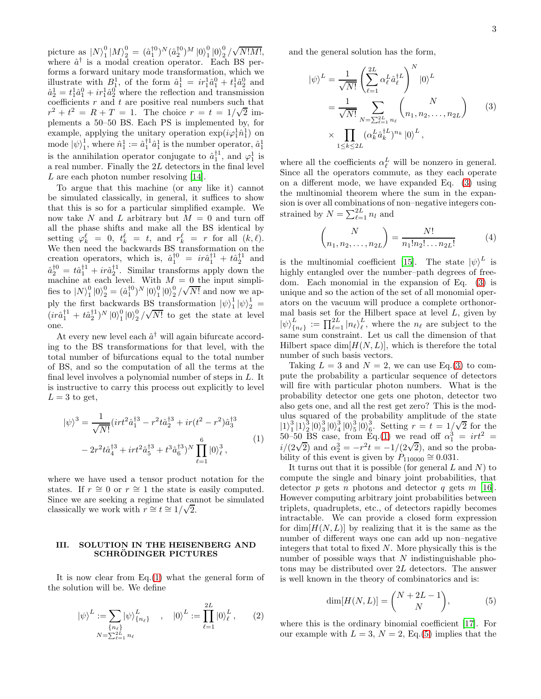picture as  $|N\rangle^0_1$  $_{1}^{0}\ket{M}_{2}^{0}=(\hat{a}_{1}^{\dag0})^{N}(\hat{a}_{2}^{\dag0})^{M}\ket{0}_{1}^{0}$  $_{1}^{0}\ket{0}_{2}^{0}$  $^{0}_{2}/\sqrt{N!M!},$ where  $\hat{a}^{\dagger}$  is a modal creation operator. Each BS performs a forward unitary mode transformation, which we illustrate with  $B_1^1$ , of the form  $\hat{a}_1^1 = ir_1^1 \hat{a}_1^0 + t_1^1 \hat{a}_2^0$  and  $\hat{a}_2^1 = t_1^1 \hat{a}_1^0 + i r_1^1 \hat{a}_2^0$  where the reflection and transmission coefficients  $r$  and  $t$  are positive real numbers such that  $r^2 + t^2 = R + T = 1$ . The choice  $r = t = 1/\sqrt{2}$  implements a 50–50 BS. Each PS is implemented by, for example, applying the unitary operation  $\exp(i\varphi_1^1\hat{n}_1^1)$  on mode  $\ket{\psi}_1^1$ <sup>1</sup><sub>1</sub>, where  $\hat{n}_1^1 := \hat{a}_1^{\dagger 1} \hat{a}_1^1$  is the number operator,  $\hat{a}_1^1$ is the annihilation operator conjugate to  $\hat{a}_1^{\dagger 1}$ , and  $\varphi_1^1$  is a real number. Finally the 2L detectors in the final level L are each photon number resolving [\[14\]](#page-8-11).

To argue that this machine (or any like it) cannot be simulated classically, in general, it suffices to show that this is so for a particular simplified example. We now take N and L arbitrary but  $M = 0$  and turn off all the phase shifts and make all the BS identical by setting  $\varphi_k^{\ell} = 0$ ,  $t_k^{\ell} = t$ , and  $r_k^{\ell} = r$  for all  $(k, \ell)$ . We then need the backwards BS transformation on the creation operators, which is,  $\hat{a}_1^{\dagger 0} = ir \hat{a}_1^{\dagger 1} + t \hat{a}_2^{\dagger 1}$  and  $\hat{a}_2^{\dagger 0} = t \hat{a}_1^{\dagger 1} + i r \hat{a}_2^{\dagger 1}$ . Similar transforms apply down the machine at each level. With  $M = 0$  the input simplifies to  $|N\rangle_1^0 |0\rangle_2^0 = (\hat{a}_1^{\dagger 0})^N |0\rangle_1^0 |0\rangle_2^0 / \sqrt{N!}$  and now we apply the first backwards BS transformation  $|\psi\rangle_1^1$  $_{1}^{1}|\psi\rangle_{2}^{1}=$  $(ir\hat{a}_1^{\dagger 1} + t\hat{a}_2^{\dagger 1})^N\ket{0}_1^0$  $_{1}^{0}\left\vert 0\right\rangle _{2}^{0}$  $\frac{0}{2}$  / $\sqrt{N!}$  to get the state at level one.

At every new level each  $\hat{a}^{\dagger}$  will again bifurcate according to the BS transformations for that level, with the total number of bifurcations equal to the total number of BS, and so the computation of all the terms at the final level involves a polynomial number of steps in L. It is instructive to carry this process out explicitly to level  $L = 3$  to get,

<span id="page-4-0"></span>
$$
|\psi\rangle^{3} = \frac{1}{\sqrt{N!}} (irt^{2} \hat{a}_{1}^{\dagger 3} - r^{2} t \hat{a}_{2}^{\dagger 3} + ir(t^{2} - r^{2}) \hat{a}_{3}^{\dagger 3} - 2r^{2} t \hat{a}_{4}^{\dagger 3} + irr^{2} \hat{a}_{5}^{\dagger 3} + t^{3} \hat{a}_{6}^{\dagger 3})^{N} \prod_{\ell=1}^{6} |0\rangle_{\ell}^{3},
$$
\n(1)

where we have used a tensor product notation for the states. If  $r \approx 0$  or  $r \approx 1$  the state is easily computed. Since we are seeking a regime that cannot be simulated classically we work with  $r \approx t \approx 1/\sqrt{2}$ .

#### III. SOLUTION IN THE HEISENBERG AND SCHRÖDINGER PICTURES

It is now clear from Eq.[\(1\)](#page-4-0) what the general form of the solution will be. We define

$$
|\psi\rangle^{L} := \sum_{\{n_{\ell}\}\atop N=\sum_{\ell=1}^{2L} n_{\ell}} |\psi\rangle^{L}_{\{n_{\ell}\}}, \quad |0\rangle^{L} := \prod_{\ell=1}^{2L} |0\rangle^{L}_{\ell}, \quad (2)
$$

and the general solution has the form,

<span id="page-4-1"></span>
$$
|\psi\rangle^{L} = \frac{1}{\sqrt{N!}} \left( \sum_{\ell=1}^{2L} \alpha_{\ell}^{L} \hat{a}_{\ell}^{\dagger L} \right)^{N} |0\rangle^{L}
$$
  

$$
= \frac{1}{\sqrt{N!}} \sum_{N=\sum_{\ell=1}^{2L} n_{\ell}} \binom{N}{n_{1}, n_{2}, \dots, n_{2L}} (3)
$$
  

$$
\times \prod_{1 \le k \le 2L} (\alpha_{k}^{L} \hat{a}_{k}^{\dagger L})^{n_{k}} |0\rangle^{L},
$$

where all the coefficients  $\alpha_{\ell}^{L}$  will be nonzero in general. Since all the operators commute, as they each operate on a different mode, we have expanded Eq. [\(3\)](#page-4-1) using the multinomial theorem where the sum in the expansion is over all combinations of non–negative integers constrained by  $N = \sum_{\ell=1}^{2L} n_{\ell}$  and

$$
\binom{N}{n_1, n_2, \dots, n_{2L}} = \frac{N!}{n_1! n_2! \dots n_{2L}!}
$$
 (4)

is the multinomial coefficient [\[15\]](#page-8-12). The state  $|\psi\rangle^L$  is highly entangled over the number–path degrees of freedom. Each monomial in the expansion of Eq. [\(3\)](#page-4-1) is unique and so the action of the set of all monomial operators on the vacuum will produce a complete orthonormal basis set for the Hilbert space at level  $L$ , given by  $\ket{\psi}^L_{\{i} }$  $\frac{L}{\{n_\ell\}}:=\prod_{\ell=1}^{2L}|n_\ell\rangle_\ell^L$  $\frac{\mu}{\ell}$ , where the  $n_{\ell}$  are subject to the same sum constraint. Let us call the dimension of that Hilbert space  $\dim[H(N,L)]$ , which is therefore the total number of such basis vectors.

Taking  $L = 3$  and  $N = 2$ , we can use Eq.[\(3\)](#page-4-1) to compute the probability a particular sequence of detectors will fire with particular photon numbers. What is the probability detector one gets one photon, detector two also gets one, and all the rest get zero? This is the modulus squared of the probability amplitude of the state  $|1\rangle_1^3$  $\binom{3}{1}\binom{1}{2}^{\frac{3}{2}}$  $\frac{3}{2} |0\rangle^3_3$  $\binom{3}{3} |0\rangle^3_4$  $\binom{3}{4} \binom{0}{5}$  $\binom{3}{5} 0 \begin{matrix} 3 \\ 0 \end{matrix}$  $\frac{3}{6}$ . Setting  $r = t = 1/\sqrt{2}$  for the  $50-50$  BS case, from Eq.[\(1\)](#page-4-0) we read off  $\alpha_1^3 = irt^2$  =  $i/(2\sqrt{2})$  and  $\alpha_2^3 = -r^2t = -1/(2\sqrt{2})$ , and so the probability of this event is given by  $P_{110000} \cong 0.031$ .

It turns out that it is possible (for general  $L$  and  $N$ ) to compute the single and binary joint probabilities, that detector  $p$  gets  $n$  photons and detector  $q$  gets  $m$  [\[16\]](#page-8-13). However computing arbitrary joint probabilities between triplets, quadruplets, etc., of detectors rapidly becomes intractable. We can provide a closed form expression for  $\dim[H(N,L)]$  by realizing that it is the same as the number of different ways one can add up non–negative integers that total to fixed  $N$ . More physically this is the number of possible ways that  $N$  indistinguishable photons may be distributed over 2L detectors. The answer is well known in the theory of combinatorics and is:

<span id="page-4-2"></span>
$$
\dim[H(N,L)] = \binom{N+2L-1}{N},\tag{5}
$$

where this is the ordinary binomial coefficient [\[17](#page-8-14)]. For our example with  $L = 3$ ,  $N = 2$ , Eq.[\(5\)](#page-4-2) implies that the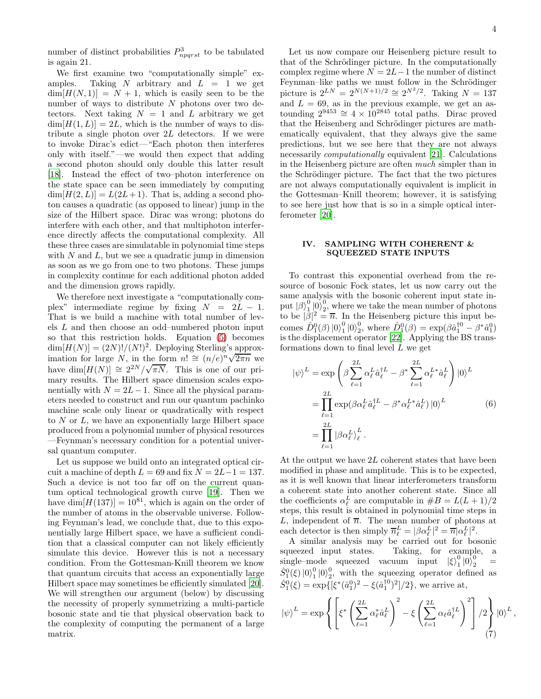We first examine two "computationally simple" examples. Taking N arbitrary and  $L = 1$  we get  $\dim[H(N,1)] = N + 1$ , which is easily seen to be the number of ways to distribute  $N$  photons over two detectors. Next taking  $N = 1$  and L arbitrary we get  $\dim[H(1,L)] = 2L$ , which is the number of ways to distribute a single photon over 2L detectors. If we were to invoke Dirac's edict—"Each photon then interferes only with itself."—we would then expect that adding a second photon should only double this latter result [\[18\]](#page-8-15). Instead the effect of two–photon interference on the state space can be seen immediately by computing  $\dim[H(2,L)] = L(2L+1)$ . That is, adding a second photon causes a quadratic (as opposed to linear) jump in the size of the Hilbert space. Dirac was wrong; photons do interfere with each other, and that multiphoton interference directly affects the computational complexity. All these three cases are simulatable in polynomial time steps with  $N$  and  $L$ , but we see a quadratic jump in dimension as soon as we go from one to two photons. These jumps in complexity continue for each additional photon added and the dimension grows rapidly.

We therefore next investigate a "computationally complex" intermediate regime by fixing  $N = 2L - 1$ . That is we build a machine with total number of levels L and then choose an odd–numbered photon input so that this restriction holds. Equation [\(5\)](#page-4-2) becomes  $\dim[H(N)] = (2N)!/(N!)^2$ . Deploying Sterling's approximation for large N, in the form  $n! \cong (n/e)^n \sqrt{2\pi n}$  we have dim $[H(N)] \cong 2^{2N}/\sqrt{\pi N}$ . This is one of our primary results. The Hilbert space dimension scales exponentially with  $N = 2L - 1$ . Since all the physical parameters needed to construct and run our quantum pachinko machine scale only linear or quadratically with respect to  $N$  or  $L$ , we have an exponentially large Hilbert space produced from a polynomial number of physical resources —Feynman's necessary condition for a potential universal quantum computer.

Let us suppose we build onto an integrated optical circuit a machine of depth  $L = 69$  and fix  $N = 2L-1 = 137$ . Such a device is not too far off on the current quantum optical technological growth curve [\[19\]](#page-8-16). Then we have dim $[H(137)] = 10^{81}$ , which is again on the order of the number of atoms in the observable universe. Following Feynman's lead, we conclude that, due to this exponentially large Hilbert space, we have a sufficient condition that a classical computer can not likely efficiently simulate this device. However this is not a necessary condition. From the Gottesman-Knill theorem we know that quantum circuits that access an exponentially large Hilbert space may sometimes be efficiently simulated [\[20\]](#page-8-17). We will strengthen our argument (below) by discussing the necessity of properly symmetrizing a multi-particle bosonic state and tie that physical observation back to the complexity of computing the permanent of a large matrix.

Let us now compare our Heisenberg picture result to that of the Schrödinger picture. In the computationally complex regime where  $N = 2L-1$  the number of distinct Feynman–like paths we must follow in the Schrödinger picture is  $2^{LN} = 2^{N(N+1)/2} \cong 2^{N^2/2}$ . Taking  $N = 137$ and  $L = 69$ , as in the previous example, we get an astounding  $2^{9453} \cong 4 \times 10^{2845}$  total paths. Dirac proved that the Heisenberg and Schrödinger pictures are mathematically equivalent, that they always give the same predictions, but we see here that they are not always necessarily computationally equivalent [\[21\]](#page-8-18). Calculations in the Heisenberg picture are often much simpler than in the Schrödinger picture. The fact that the two pictures are not always computationally equivalent is implicit in the Gottesman–Knill theorem; however, it is satisfying to see here just how that is so in a simple optical interferometer [\[20\]](#page-8-17).

#### IV. SAMPLING WITH COHERENT & SQUEEZED STATE INPUTS

To contrast this exponential overhead from the resource of bosonic Fock states, let us now carry out the same analysis with the bosonic coherent input state input  $\left|\beta\right>^0_1\left|0\right>^0_2$ , where we take the mean number of photons put  $\frac{|\beta_1|^2}{|\beta_2|^2} = \overline{n}$ . In the Heisenberg picture this input becomes  $\hat{D}_1^0(\beta)$   $|0\rangle_1^0$  $\binom{0}{1} \binom{0}{2}$ <sup>0</sup><sub>2</sub>, where  $\hat{D}_1^0(\beta) = \exp(\beta \hat{a}_1^{\dagger 0} - \beta^* \hat{a}_1^0)$ is the displacement operator [\[22](#page-8-19)]. Applying the BS transformations down to final level  $L$  we get

$$
|\psi\rangle^{L} = \exp\left(\beta \sum_{\ell=1}^{2L} \alpha_{\ell}^{L} \hat{a}_{\ell}^{\dagger L} - \beta^{*} \sum_{\ell=1}^{2L} \alpha_{\ell}^{L*} \hat{a}_{\ell}^{L}\right) |0\rangle^{L}
$$
  

$$
= \prod_{\ell=1}^{2L} \exp(\beta \alpha_{\ell}^{L} \hat{a}_{\ell}^{\dagger L} - \beta^{*} \alpha_{\ell}^{L*} \hat{a}_{\ell}^{L}) |0\rangle^{L}
$$
  

$$
= \prod_{\ell=1}^{2L} |\beta \alpha_{\ell}^{L}\rangle_{\ell}^{L}. \tag{6}
$$

At the output we have  $2L$  coherent states that have been modified in phase and amplitude. This is to be expected, as it is well known that linear interferometers transform a coherent state into another coherent state. Since all the coefficients  $\alpha_{\ell}^{L}$  are computable in  $\#B = L(L+1)/2$ steps, this result is obtained in polynomial time steps in L, independent of  $\overline{n}$ . The mean number of photons at each detector is then simply  $\overline{n}_{\ell}^L = |\beta \alpha_{\ell}^L|^2 = \overline{n} |\alpha_{\ell}^L|^2$ .

A similar analysis may be carried out for bosonic squeezed input states. Taking, for example, a single–mode squeezed vacuum input  $|\xi\rangle_1^0$  $_{1}^{0}\ket{0}_{2}^{0}$  $\frac{0}{2}$  =  $\hat{S}_1^0(\xi)\ket{0}_1^0$  $\binom{0}{1} \binom{0}{2}$ 2 , with the squeezing operator defined as  $\hat{S}_1^0(\xi) = \exp\{[\xi^*(\hat{a}_1^0)^2 - \xi(\hat{a}_1^{\dagger 0})^2]/2\}$ , we arrive at,

$$
|\psi\rangle^{L} = \exp\left\{ \left[ \xi^* \left( \sum_{\ell=1}^{2L} \alpha_{\ell}^* \hat{a}_{\ell}^{L} \right)^2 - \xi \left( \sum_{\ell=1}^{2L} \alpha_{\ell} \hat{a}_{\ell}^{\dagger L} \right)^2 \right] / 2 \right\} |0\rangle^{L},
$$
\n(7)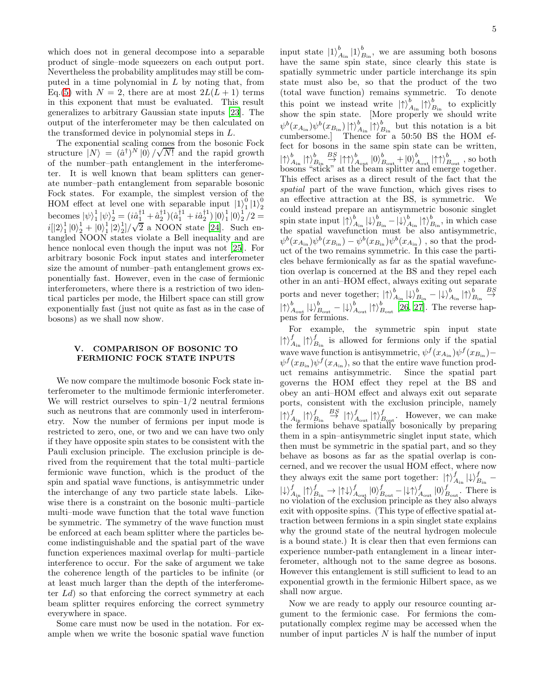which does not in general decompose into a separable product of single–mode squeezers on each output port. Nevertheless the probability amplitudes may still be computed in a time polynomial in  $L$  by noting that, from Eq.[\(5\)](#page-4-2) with  $N = 2$ , there are at most  $2L(L + 1)$  terms in this exponent that must be evaluated. This result generalizes to arbitrary Gaussian state inputs [\[23\]](#page-8-20). The output of the interferometer may be then calculated on the transformed device in polynomial steps in L.

The exponential scaling comes from the bosonic Fock structure  $|N\rangle = (\hat{a}^{\dagger})^N |0\rangle / \sqrt{N!}$  and the rapid growth of the number–path entanglement in the interferometer. It is well known that beam splitters can generate number–path entanglement from separable bosonic Fock states. For example, the simplest version of the HOM effect at level one with separable input  $|1\rangle_1^0$  $\binom{0}{1}$   $\ket{1}$ <sup>0</sup><sub>2</sub> 2 becomes  $|\psi\rangle_1^1 |\psi\rangle_2^1 = (i\hat{a}_1^{\dagger 1} + \hat{a}_2^{\dagger 1})(\hat{a}_1^{\dagger 1} + i\hat{a}_2^{\dagger 1}) |0\rangle_1^1 |0\rangle_2^1 / 2 =$  $i[|2\rangle \frac{1}{1}$  $\frac{1}{1}$  $\left|0\right\rangle^1_2 + \left|0\right\rangle^1_1$  $\frac{1}{1}$   $|2\rangle$  $\frac{1}{2}$  $\frac{1}{2}$ / $\sqrt{2}$  a NOON state [\[24](#page-8-21)]. Such entangled NOON states violate a Bell inequality and are hence nonlocal even though the input was not [\[25\]](#page-8-22). For arbitrary bosonic Fock input states and interferometer size the amount of number–path entanglement grows exponentially fast. However, even in the case of fermionic interferometers, where there is a restriction of two identical particles per mode, the Hilbert space can still grow exponentially fast (just not quite as fast as in the case of bosons) as we shall now show.

#### V. COMPARISON OF BOSONIC TO FERMIONIC FOCK STATE INPUTS

We now compare the multimode bosonic Fock state interferometer to the multimode fermionic interferometer. We will restrict ourselves to  $spin-1/2$  neutral fermions such as neutrons that are commonly used in interferometry. Now the number of fermions per input mode is restricted to zero, one, or two and we can have two only if they have opposite spin states to be consistent with the Pauli exclusion principle. The exclusion principle is derived from the requirement that the total multi–particle fermionic wave function, which is the product of the spin and spatial wave functions, is antisymmetric under the interchange of any two particle state labels. Likewise there is a constraint on the bosonic multi–particle multi–mode wave function that the total wave function be symmetric. The symmetry of the wave function must be enforced at each beam splitter where the particles become indistinguishable and the spatial part of the wave function experiences maximal overlap for multi–particle interference to occur. For the sake of argument we take the coherence length of the particles to be infinite (or at least much larger than the depth of the interferometer Ld) so that enforcing the correct symmetry at each beam splitter requires enforcing the correct symmetry everywhere in space.

Some care must now be used in the notation. For example when we write the bosonic spatial wave function

input state  $|1\rangle_{A}^{b}$  $_{A_{\rm in}}^b \ket{1}_L^b$  $B_{\text{in}}^{\text{o}}$ , we are assuming both bosons have the same spin state, since clearly this state is spatially symmetric under particle interchange its spin state must also be, so that the product of the two (total wave function) remains symmetric. To denote this point we instead write  $|\!\uparrow\rangle_{A_{\text{in}}}^b|\!\uparrow\rangle_{B_{\text{in}}}^b$  to explicitly show the spin state. [More properly we should write  $\psi^b(x_{A_{\rm in}})\psi^b(x_{B_{\rm in}})|\!\uparrow\rangle_{A_{\rm in}}^b|\!\uparrow\rangle_{B_{\rm in}}^b$  but this notation is a bit cumbersome.] Thence for a 50:50 BS the HOM effect for bosons in the same spin state can be written,  $\ket{\uparrow}_{A_\mathrm{in}}^b\ket{\uparrow}_{B_\mathrm{in}}^b \overset{BS}{\rightarrow} \ket{\uparrow\uparrow}_{A_\mathrm{out}}^b\ket{0}_B^b$  $\frac{b}{B_{\rm out}}+|0\rangle_{\rm F}^{b}$  $_{A_{\rm out}}^b \left| \uparrow \uparrow \right\rangle_{B_{\rm out}}^b$  , so both bosons "stick" at the beam splitter and emerge together. This effect arises as a direct result of the fact that the spatial part of the wave function, which gives rises to an effective attraction at the BS, is symmetric. We could instead prepare an antisymmetric bosonic singlet spin state input  $|\!\!\uparrow\rangle_{A_\mathrm{in}}^b|\!\!\downarrow\rangle_{B_\mathrm{in}}^b - |\!\!\downarrow\rangle_{A_\mathrm{in}}^b|\!\!\uparrow\rangle_{B_\mathrm{in}}^b$ , in which case the spatial wavefunction must be also antisymmetric,  $\psi^b(x_{A_{\rm in}})\psi^b(x_{B_{\rm in}}) - \psi^b(x_{B_{\rm in}})\psi^b(x_{A_{\rm in}})$ , so that the product of the two remains symmetric. In this case the particles behave fermionically as far as the spatial wavefunction overlap is concerned at the BS and they repel each other in an anti–HOM effect, always exiting out separate ports and never together;  $\left| \uparrow \right\rangle^b_{A_\text{in}} \left| \downarrow \right\rangle^b_{B_\text{in}} - \left| \downarrow \right\rangle^b_{A_\text{in}} \left| \uparrow \right\rangle^b_{B_\text{in}}$  $\overset{BS}{\rightarrow}$  $|\!\!\uparrow\rangle_{A_{\text{out}}}^b|\!\!\downarrow\rangle_{B_{\text{out}}}^b - |\!\!\downarrow\rangle_{A_{\text{out}}}^b|\!\!\uparrow\rangle_{B_{\text{out}}}^b$  [\[26,](#page-8-23) [27\]](#page-8-24). The reverse happens for fermions.

For example, the symmetric spin input state  $|\!\!\uparrow\rangle_{A_{\text{in}}}^f|\!\!\uparrow\rangle_{B_{\text{in}}}^f$  is allowed for fermions only if the spatial wave wave function is antisymmetric,  $\psi^f(x_{A_{\text{in}}})\psi^f(x_{B_{\text{in}}}) \psi^f(x_{B_{\rm in}})\psi^f(x_{A_{\rm in}})$ , so that the entire wave function product remains antisymmetric. Since the spatial part governs the HOM effect they repel at the BS and obey an anti–HOM effect and always exit out separate ports, consistent with the exclusion principle, namely  $|\!\!\uparrow\rangle_{A_{\rm in}}^f\!\!\upharpoonright_{B_{\rm in}}^f \xrightarrow{BS} |\!\!\uparrow\rangle_{A_{\rm out}}^f\!\!\upharpoonright_{B_{\rm out}}^f$ . However, we can make the fermions behave spatially bosonically by preparing them in a spin–antisymmetric singlet input state, which then must be symmetric in the spatial part, and so they behave as bosons as far as the spatial overlap is concerned, and we recover the usual HOM effect, where now they always exit the same port together:  $|\!\!\uparrow\rangle_{A_\mathrm{in}}^f|\!\!\downarrow\rangle_{B_\mathrm{in}}^f$   $|\!\downarrow\rangle_{A_\text{in}}^f\,|\!\uparrow\rangle_{B_\text{in}}^f \rightarrow |\!\uparrow\downarrow\rangle_{A_\text{out}}^f\,|0\rangle_{B}^f$  $\frac{f}{B_{\rm out}} - \left| \downarrow \uparrow \right\rangle_{A_{\rm out}}^f \left| 0 \right\rangle_{B}^f$  $B_{\text{out}}$ . There is no violation of the exclusion principle as they also always exit with opposite spins. (This type of effective spatial attraction between fermions in a spin singlet state explains why the ground state of the neutral hydrogen molecule is a bound state.) It is clear then that even fermions can experience number-path entanglement in a linear interferometer, although not to the same degree as bosons. However this entanglement is still sufficient to lead to an exponential growth in the fermionic Hilbert space, as we shall now argue.

Now we are ready to apply our resource counting argument to the fermionic case. For fermions the computationally complex regime may be accessed when the number of input particles  $N$  is half the number of input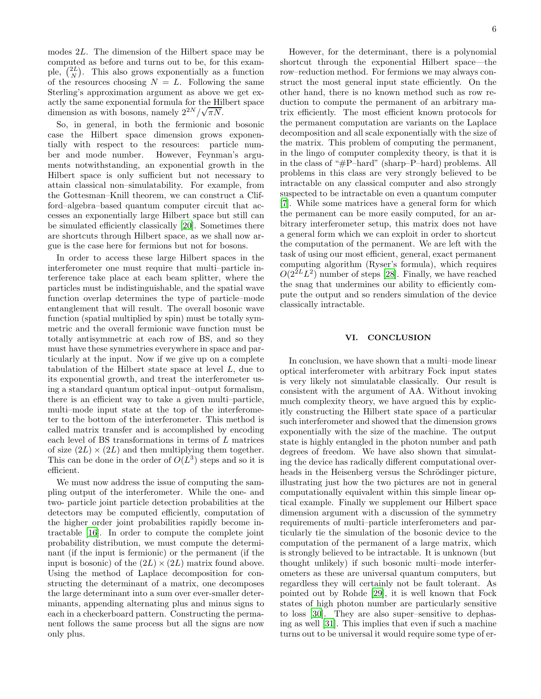modes 2L. The dimension of the Hilbert space may be computed as before and turns out to be, for this example,  $\binom{2L}{N}$ . This also grows exponentially as a function of the resources choosing  $N = L$ . Following the same Sterling's approximation argument as above we get exactly the same exponential formula for the Hilbert space dimension as with bosons, namely  $2^{2N}/\sqrt{\pi N}$ .

So, in general, in both the fermionic and bosonic case the Hilbert space dimension grows exponentially with respect to the resources: particle number and mode number. However, Feynman's arguments notwithstanding, an exponential growth in the Hilbert space is only sufficient but not necessary to attain classical non–simulatability. For example, from the Gottesman–Knill theorem, we can construct a Clifford–algebra–based quantum computer circuit that accesses an exponentially large Hilbert space but still can be simulated efficiently classically [\[20\]](#page-8-17). Sometimes there are shortcuts through Hilbert space, as we shall now argue is the case here for fermions but not for bosons.

In order to access these large Hilbert spaces in the interferometer one must require that multi–particle interference take place at each beam splitter, where the particles must be indistinguishable, and the spatial wave function overlap determines the type of particle–mode entanglement that will result. The overall bosonic wave function (spatial multiplied by spin) must be totally symmetric and the overall fermionic wave function must be totally antisymmetric at each row of BS, and so they must have these symmetries everywhere in space and particularly at the input. Now if we give up on a complete tabulation of the Hilbert state space at level  $L$ , due to its exponential growth, and treat the interferometer using a standard quantum optical input–output formalism, there is an efficient way to take a given multi–particle, multi–mode input state at the top of the interferometer to the bottom of the interferometer. This method is called matrix transfer and is accomplished by encoding each level of BS transformations in terms of L matrices of size  $(2L) \times (2L)$  and then multiplying them together. This can be done in the order of  $O(L^3)$  steps and so it is efficient.

We must now address the issue of computing the sampling output of the interferometer. While the one- and two- particle joint particle detection probabilities at the detectors may be computed efficiently, computation of the higher order joint probabilities rapidly become intractable [\[16\]](#page-8-13). In order to compute the complete joint probability distribution, we must compute the determinant (if the input is fermionic) or the permanent (if the input is bosonic) of the  $(2L) \times (2L)$  matrix found above. Using the method of Laplace decomposition for constructing the determinant of a matrix, one decomposes the large determinant into a sum over ever-smaller determinants, appending alternating plus and minus signs to each in a checkerboard pattern. Constructing the permanent follows the same process but all the signs are now only plus.

However, for the determinant, there is a polynomial shortcut through the exponential Hilbert space—the row–reduction method. For fermions we may always construct the most general input state efficiently. On the other hand, there is no known method such as row reduction to compute the permanent of an arbitrary matrix efficiently. The most efficient known protocols for the permanent computation are variants on the Laplace decomposition and all scale exponentially with the size of the matrix. This problem of computing the permanent, in the lingo of computer complexity theory, is that it is in the class of "#P–hard" (sharp–P–hard) problems. All problems in this class are very strongly believed to be intractable on any classical computer and also strongly suspected to be intractable on even a quantum computer [\[7\]](#page-8-6). While some matrices have a general form for which the permanent can be more easily computed, for an arbitrary interferometer setup, this matrix does not have a general form which we can exploit in order to shortcut the computation of the permanent. We are left with the task of using our most efficient, general, exact permanent computing algorithm (Ryser's formula), which requires  $O(2^{2L}L^2)$  number of steps [\[28\]](#page-8-25). Finally, we have reached the snag that undermines our ability to efficiently compute the output and so renders simulation of the device classically intractable.

#### VI. CONCLUSION

In conclusion, we have shown that a multi–mode linear optical interferometer with arbitrary Fock input states is very likely not simulatable classically. Our result is consistent with the argument of AA. Without invoking much complexity theory, we have argued this by explicitly constructing the Hilbert state space of a particular such interferometer and showed that the dimension grows exponentially with the size of the machine. The output state is highly entangled in the photon number and path degrees of freedom. We have also shown that simulating the device has radically different computational overheads in the Heisenberg versus the Schrödinger picture, illustrating just how the two pictures are not in general computationally equivalent within this simple linear optical example. Finally we supplement our Hilbert space dimension argument with a discussion of the symmetry requirements of multi–particle interferometers and particularly tie the simulation of the bosonic device to the computation of the permanent of a large matrix, which is strongly believed to be intractable. It is unknown (but thought unlikely) if such bosonic multi–mode interferometers as these are universal quantum computers, but regardless they will certainly not be fault tolerant. As pointed out by Rohde [\[29\]](#page-8-26), it is well known that Fock states of high photon number are particularly sensitive to loss [\[30\]](#page-8-27). They are also super–sensitive to dephasing as well [\[31\]](#page-8-28). This implies that even if such a machine turns out to be universal it would require some type of er